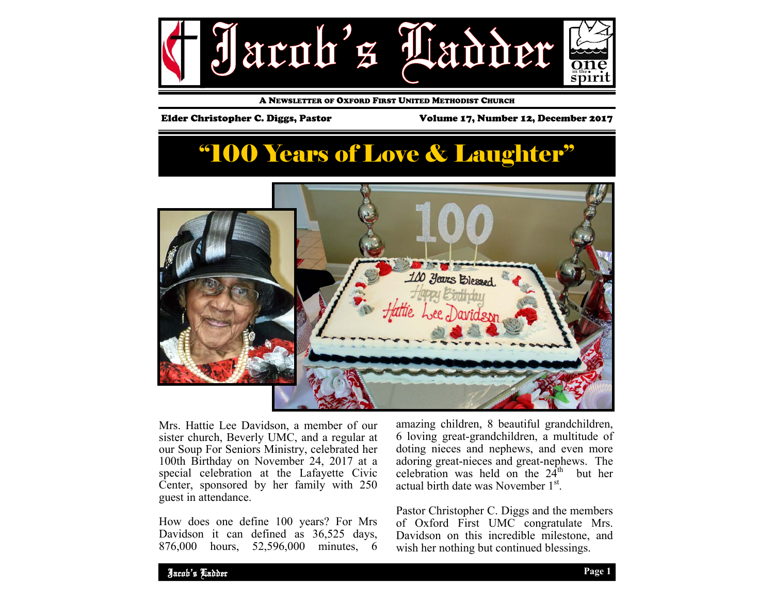

A NEWSLETTER OF OXFORD FIRST UNITED METHODIST CHURCH

Elder Christopher C. Diggs, Pastor Volume 17, Number 12, December 2017

# "100 Years of Love & Laughter"



Mrs. Hattie Lee Davidson, a member of our sister church, Beverly UMC, and a regular at our Soup For Seniors Ministry, celebrated her 100th Birthday on November 24, 2017 at a special celebration at the Lafayette Civic Center, sponsored by her family with 250 guest in attendance.

How does one define 100 years? For Mrs Davidson it can defined as 36,525 days, 876,000 hours, 52,596,000 minutes, 6

amazing children, 8 beautiful grandchildren, 6 loving great-grandchildren, a multitude of doting nieces and nephews, and even more adoring great-nieces and great-nephews. The celebration was held on the  $24<sup>th</sup>$  but her actual birth date was November 1<sup>st</sup>.

Pastor Christopher C. Diggs and the members of Oxford First UMC congratulate Mrs. Davidson on this incredible milestone, and wish her nothing but continued blessings.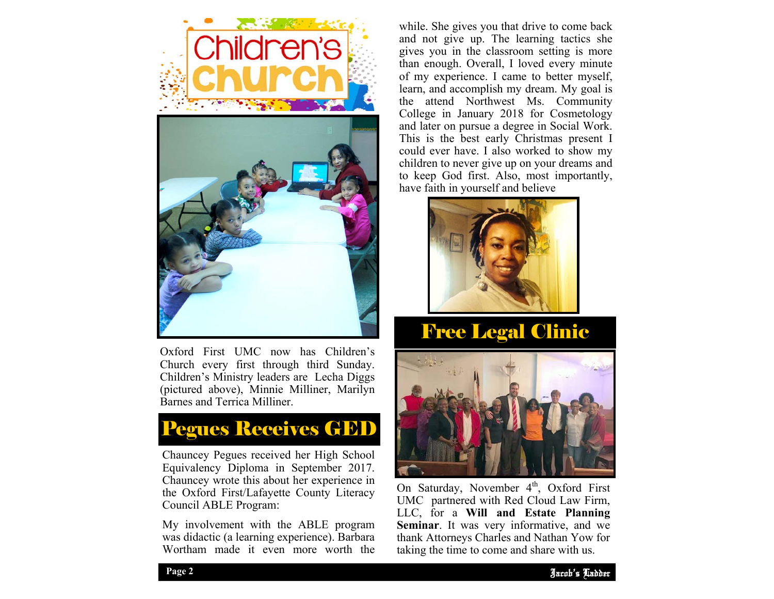

Oxford First UMC now has Children's Church every first through third Sunday. Children's Ministry leaders are Lecha Diggs (pictured above), Minnie Milliner, Marilyn Barnes and Terrica Milliner.



Chauncey Pegues received her High School Equivalency Diploma in September 2017. Chauncey wrote this about her experience in the Oxford First/Lafayette County Literacy Council ABLE Program:

My involvement with the ABLE program was didactic (a learning experience). Barbara Wortham made it even more worth the

while. She gives you that drive to come back and not give up. The learning tactics she gives you in the classroom setting is more than enough. Overall, I loved every minute of my experience. I came to better myself, learn, and accomplish my dream. My goal is the attend Northwest Ms. Community College in January 2018 for Cosmetology and later on pursue a degree in Social Work. This is the best early Christmas present I could ever have. I also worked to show my children to never give up on your dreams and to keep God first. Also, most importantly, have faith in yourself and believe



## Free Legal Clinic



LLC, for a **Will and Estate Planning** On Saturday, November 4<sup>th</sup>, Oxford First UMC partnered with Red Cloud Law Firm, **Seminar**. It was very informative, and we thank Attorneys Charles and Nathan Yow for taking the time to come and share with us.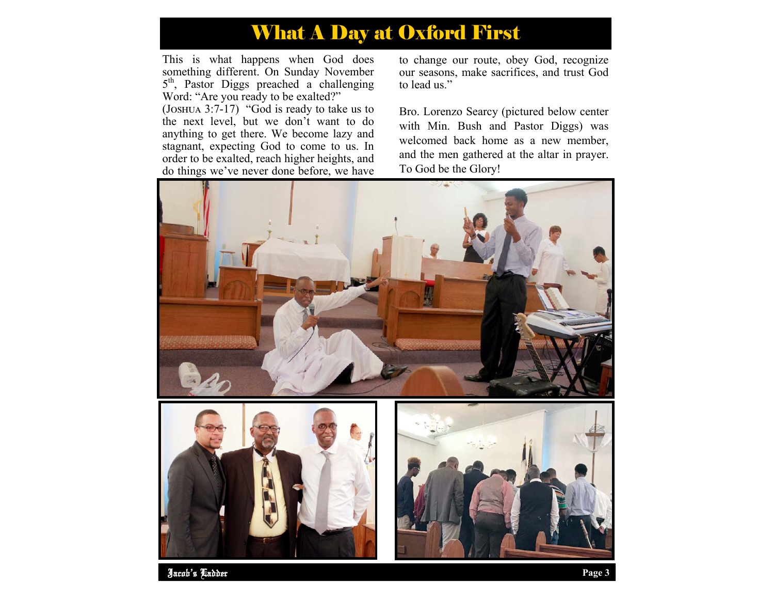## What A Day at Oxford First

This is what happens when God does something different. On Sunday November 5<sup>th</sup>, Pastor Diggs preached a challenging Word: "Are you ready to be exalted?"

(JOSHUA  $3:7-17$ ) "God is ready to take us to the next level, but we don't want to do anything to get there. We become lazy and stagnant, expecting God to come to us. In order to be exalted, reach higher heights, and do things we've never done before, we have

to change our route, obey God, recognize our seasons, make sacrifices, and trust God to lead us."

Bro. Lorenzo Searcy (pictured below center with Min. Bush and Pastor Diggs) was welcomed back home as a new member, and the men gathered at the altar in prayer. To God be the Glory!



Jacob's Ladder **Page 3**